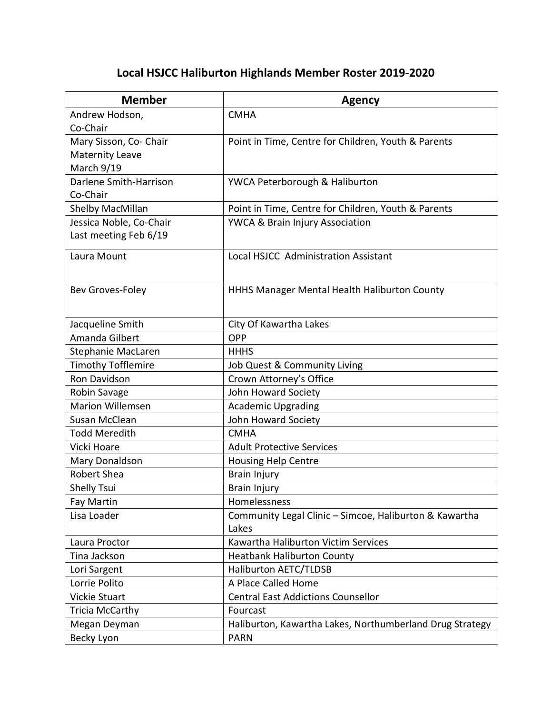## **Local HSJCC Haliburton Highlands Member Roster 2019-2020**

| <b>Member</b>             | <b>Agency</b>                                            |
|---------------------------|----------------------------------------------------------|
| Andrew Hodson,            | <b>CMHA</b>                                              |
| Co-Chair                  |                                                          |
| Mary Sisson, Co- Chair    | Point in Time, Centre for Children, Youth & Parents      |
| <b>Maternity Leave</b>    |                                                          |
| March 9/19                |                                                          |
| Darlene Smith-Harrison    | YWCA Peterborough & Haliburton                           |
| Co-Chair                  |                                                          |
| Shelby MacMillan          | Point in Time, Centre for Children, Youth & Parents      |
| Jessica Noble, Co-Chair   | YWCA & Brain Injury Association                          |
| Last meeting Feb 6/19     |                                                          |
| Laura Mount               | Local HSJCC Administration Assistant                     |
|                           |                                                          |
| Bev Groves-Foley          | HHHS Manager Mental Health Haliburton County             |
|                           |                                                          |
| Jacqueline Smith          | City Of Kawartha Lakes                                   |
| Amanda Gilbert            | <b>OPP</b>                                               |
| Stephanie MacLaren        | <b>HHHS</b>                                              |
| <b>Timothy Tofflemire</b> | Job Quest & Community Living                             |
| Ron Davidson              | Crown Attorney's Office                                  |
| Robin Savage              | John Howard Society                                      |
| <b>Marion Willemsen</b>   | <b>Academic Upgrading</b>                                |
| Susan McClean             | John Howard Society                                      |
| <b>Todd Meredith</b>      | <b>CMHA</b>                                              |
| Vicki Hoare               | <b>Adult Protective Services</b>                         |
| Mary Donaldson            | <b>Housing Help Centre</b>                               |
| <b>Robert Shea</b>        | Brain Injury                                             |
| <b>Shelly Tsui</b>        | <b>Brain Injury</b>                                      |
| Fay Martin                | Homelessness                                             |
| Lisa Loader               | Community Legal Clinic - Simcoe, Haliburton & Kawartha   |
|                           | Lakes                                                    |
| Laura Proctor             | Kawartha Haliburton Victim Services                      |
| Tina Jackson              | <b>Heatbank Haliburton County</b>                        |
| Lori Sargent              | <b>Haliburton AETC/TLDSB</b>                             |
| Lorrie Polito             | A Place Called Home                                      |
| Vickie Stuart             | <b>Central East Addictions Counsellor</b>                |
| <b>Tricia McCarthy</b>    | Fourcast                                                 |
| Megan Deyman              | Haliburton, Kawartha Lakes, Northumberland Drug Strategy |
| Becky Lyon                | <b>PARN</b>                                              |